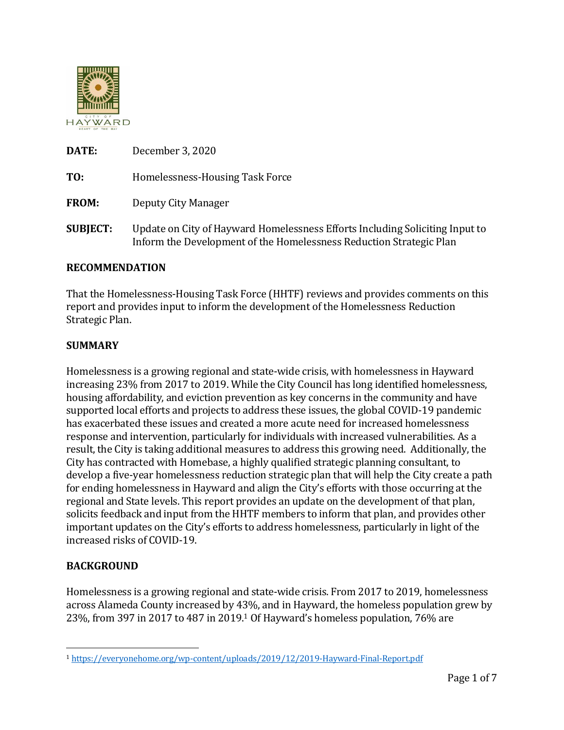

| DATE:           | December 3, 2020                                                                                                                                    |
|-----------------|-----------------------------------------------------------------------------------------------------------------------------------------------------|
| TO:             | Homelessness-Housing Task Force                                                                                                                     |
| <b>FROM:</b>    | Deputy City Manager                                                                                                                                 |
| <b>SUBJECT:</b> | Update on City of Hayward Homelessness Efforts Including Soliciting Input to<br>Inform the Development of the Homelessness Reduction Strategic Plan |

### **RECOMMENDATION**

That the Homelessness-Housing Task Force (HHTF) reviews and provides comments on this report and provides input to inform the development of the Homelessness Reduction Strategic Plan.

#### **SUMMARY**

Homelessness is a growing regional and state-wide crisis, with homelessness in Hayward increasing 23% from 2017 to 2019. While the City Council has long identified homelessness, housing affordability, and eviction prevention as key concerns in the community and have supported local efforts and projects to address these issues, the global COVID-19 pandemic has exacerbated these issues and created a more acute need for increased homelessness response and intervention, particularly for individuals with increased vulnerabilities. As a result, the City is taking additional measures to address this growing need. Additionally, the City has contracted with Homebase, a highly qualified strategic planning consultant, to develop a five-year homelessness reduction strategic plan that will help the City create a path for ending homelessness in Hayward and align the City's efforts with those occurring at the regional and State levels. This report provides an update on the development of that plan, solicits feedback and input from the HHTF members to inform that plan, and provides other important updates on the City's efforts to address homelessness, particularly in light of the increased risks of COVID-19.

### **BACKGROUND**

Homelessness is a growing regional and state-wide crisis. From 2017 to 2019, homelessness across Alameda County increased by 43%, and in Hayward, the homeless population grew by 23%, from 397 in 2017 to 487 in 2019.<sup>1</sup> Of Hayward's homeless population, 76% are

<sup>1</sup> <https://everyonehome.org/wp-content/uploads/2019/12/2019-Hayward-Final-Report.pdf>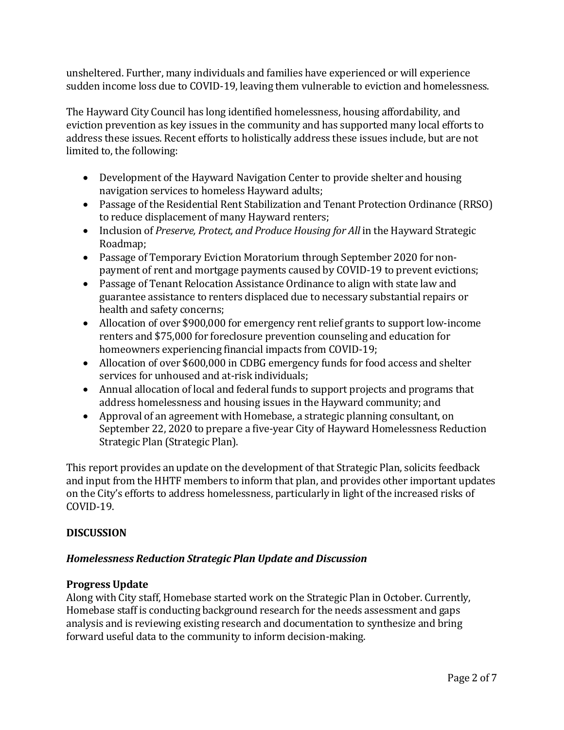unsheltered. Further, many individuals and families have experienced or will experience sudden income loss due to COVID-19, leaving them vulnerable to eviction and homelessness.

The Hayward City Council has long identified homelessness, housing affordability, and eviction prevention as key issues in the community and has supported many local efforts to address these issues. Recent efforts to holistically address these issues include, but are not limited to, the following:

- Development of the Hayward Navigation Center to provide shelter and housing navigation services to homeless Hayward adults;
- Passage of the Residential Rent Stabilization and Tenant Protection Ordinance (RRSO) to reduce displacement of many Hayward renters;
- Inclusion of *Preserve, Protect, and Produce Housing for All* in the Hayward Strategic Roadmap;
- Passage of Temporary Eviction Moratorium through September 2020 for nonpayment of rent and mortgage payments caused by COVID-19 to prevent evictions;
- Passage of Tenant Relocation Assistance Ordinance to align with state law and guarantee assistance to renters displaced due to necessary substantial repairs or health and safety concerns;
- Allocation of over \$900,000 for emergency rent relief grants to support low-income renters and \$75,000 for foreclosure prevention counseling and education for homeowners experiencing financial impacts from COVID-19;
- Allocation of over \$600,000 in CDBG emergency funds for food access and shelter services for unhoused and at-risk individuals;
- Annual allocation of local and federal funds to support projects and programs that address homelessness and housing issues in the Hayward community; and
- Approval of an agreement with Homebase, a strategic planning consultant, on September 22, 2020 to prepare a five-year City of Hayward Homelessness Reduction Strategic Plan (Strategic Plan).

This report provides an update on the development of that Strategic Plan, solicits feedback and input from the HHTF members to inform that plan, and provides other important updates on the City's efforts to address homelessness, particularly in light of the increased risks of COVID-19.

# **DISCUSSION**

# *Homelessness Reduction Strategic Plan Update and Discussion*

# **Progress Update**

Along with City staff, Homebase started work on the Strategic Plan in October. Currently, Homebase staff is conducting background research for the needs assessment and gaps analysis and is reviewing existing research and documentation to synthesize and bring forward useful data to the community to inform decision-making.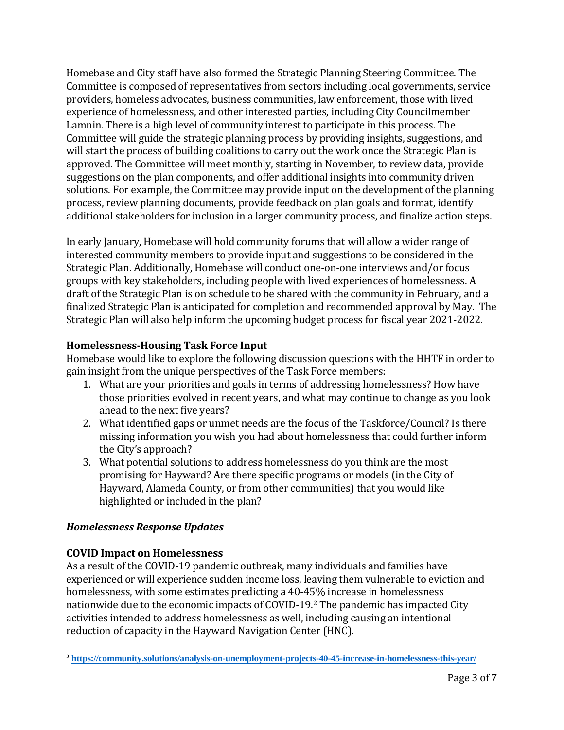Homebase and City staff have also formed the Strategic Planning Steering Committee. The Committee is composed of representatives from sectors including local governments, service providers, homeless advocates, business communities, law enforcement, those with lived experience of homelessness, and other interested parties, including City Councilmember Lamnin. There is a high level of community interest to participate in this process. The Committee will guide the strategic planning process by providing insights, suggestions, and will start the process of building coalitions to carry out the work once the Strategic Plan is approved. The Committee will meet monthly, starting in November, to review data, provide suggestions on the plan components, and offer additional insights into community driven solutions. For example, the Committee may provide input on the development of the planning process, review planning documents, provide feedback on plan goals and format, identify additional stakeholders for inclusion in a larger community process, and finalize action steps.

In early January, Homebase will hold community forums that will allow a wider range of interested community members to provide input and suggestions to be considered in the Strategic Plan. Additionally, Homebase will conduct one-on-one interviews and/or focus groups with key stakeholders, including people with lived experiences of homelessness. A draft of the Strategic Plan is on schedule to be shared with the community in February, and a finalized Strategic Plan is anticipated for completion and recommended approval by May. The Strategic Plan will also help inform the upcoming budget process for fiscal year 2021-2022.

# **Homelessness-Housing Task Force Input**

Homebase would like to explore the following discussion questions with the HHTF in order to gain insight from the unique perspectives of the Task Force members:

- 1. What are your priorities and goals in terms of addressing homelessness? How have those priorities evolved in recent years, and what may continue to change as you look ahead to the next five years?
- 2. What identified gaps or unmet needs are the focus of the Taskforce/Council? Is there missing information you wish you had about homelessness that could further inform the City's approach?
- 3. What potential solutions to address homelessness do you think are the most promising for Hayward? Are there specific programs or models (in the City of Hayward, Alameda County, or from other communities) that you would like highlighted or included in the plan?

# *Homelessness Response Updates*

# **COVID Impact on Homelessness**

As a result of the COVID-19 pandemic outbreak, many individuals and families have experienced or will experience sudden income loss, leaving them vulnerable to eviction and homelessness, with some estimates predicting a 40-45% increase in homelessness nationwide due to the economic impacts of COVID-19.<sup>2</sup> The pandemic has impacted City activities intended to address homelessness as well, including causing an intentional reduction of capacity in the Hayward Navigation Center (HNC).

 **<sup>2</sup> <https://community.solutions/analysis-on-unemployment-projects-40-45-increase-in-homelessness-this-year/>**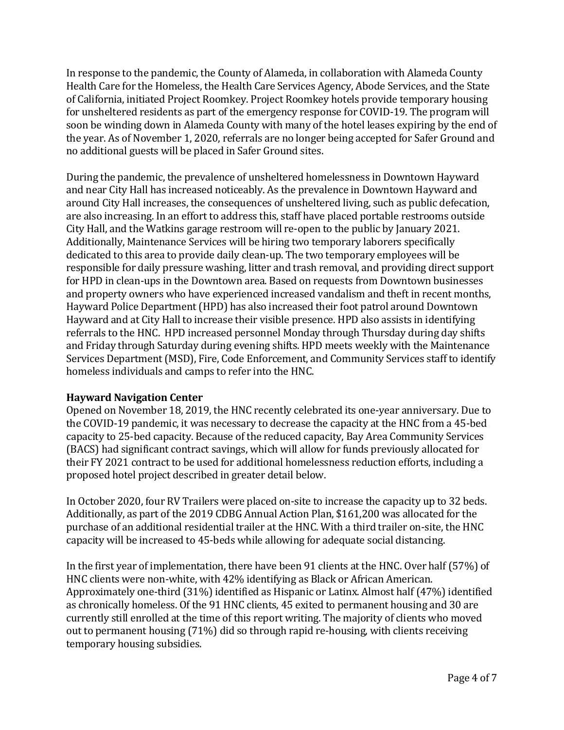In response to the pandemic, the County of Alameda, in collaboration with Alameda County Health Care for the Homeless, the Health Care Services Agency, Abode Services, and the State of California, initiated Project Roomkey. Project Roomkey hotels provide temporary housing for unsheltered residents as part of the emergency response for COVID-19. The program will soon be winding down in Alameda County with many of the hotel leases expiring by the end of the year. As of November 1, 2020, referrals are no longer being accepted for Safer Ground and no additional guests will be placed in Safer Ground sites.

During the pandemic, the prevalence of unsheltered homelessness in Downtown Hayward and near City Hall has increased noticeably. As the prevalence in Downtown Hayward and around City Hall increases, the consequences of unsheltered living, such as public defecation, are also increasing. In an effort to address this, staff have placed portable restrooms outside City Hall, and the Watkins garage restroom will re-open to the public by January 2021. Additionally, Maintenance Services will be hiring two temporary laborers specifically dedicated to this area to provide daily clean-up. The two temporary employees will be responsible for daily pressure washing, litter and trash removal, and providing direct support for HPD in clean-ups in the Downtown area. Based on requests from Downtown businesses and property owners who have experienced increased vandalism and theft in recent months, Hayward Police Department (HPD) has also increased their foot patrol around Downtown Hayward and at City Hall to increase their visible presence. HPD also assists in identifying referrals to the HNC. HPD increased personnel Monday through Thursday during day shifts and Friday through Saturday during evening shifts. HPD meets weekly with the Maintenance Services Department (MSD), Fire, Code Enforcement, and Community Services staff to identify homeless individuals and camps to refer into the HNC.

### **Hayward Navigation Center**

Opened on November 18, 2019, the HNC recently celebrated its one-year anniversary. Due to the COVID-19 pandemic, it was necessary to decrease the capacity at the HNC from a 45-bed capacity to 25-bed capacity. Because of the reduced capacity, Bay Area Community Services (BACS) had significant contract savings, which will allow for funds previously allocated for their FY 2021 contract to be used for additional homelessness reduction efforts, including a proposed hotel project described in greater detail below.

In October 2020, four RV Trailers were placed on-site to increase the capacity up to 32 beds. Additionally, as part of the 2019 CDBG Annual Action Plan, \$161,200 was allocated for the purchase of an additional residential trailer at the HNC. With a third trailer on-site, the HNC capacity will be increased to 45-beds while allowing for adequate social distancing.

In the first year of implementation, there have been 91 clients at the HNC. Over half (57%) of HNC clients were non-white, with 42% identifying as Black or African American. Approximately one-third (31%) identified as Hispanic or Latinx. Almost half (47%) identified as chronically homeless. Of the 91 HNC clients, 45 exited to permanent housing and 30 are currently still enrolled at the time of this report writing. The majority of clients who moved out to permanent housing (71%) did so through rapid re-housing, with clients receiving temporary housing subsidies.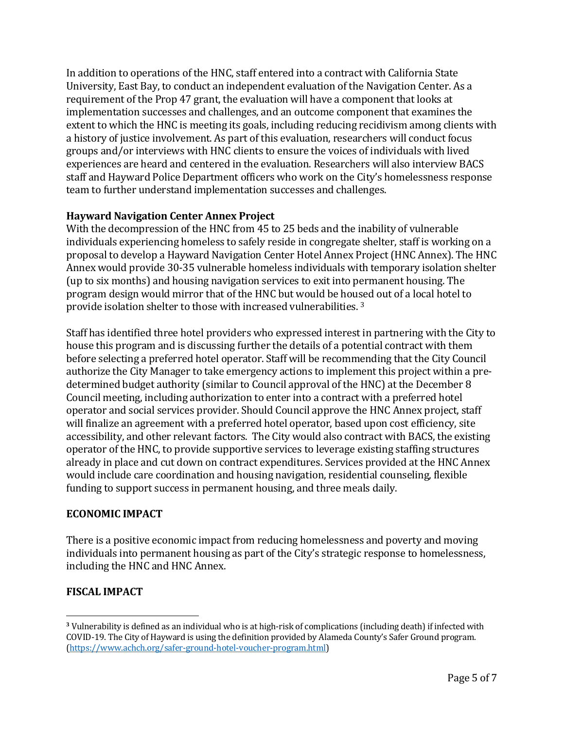In addition to operations of the HNC, staff entered into a contract with California State University, East Bay, to conduct an independent evaluation of the Navigation Center. As a requirement of the Prop 47 grant, the evaluation will have a component that looks at implementation successes and challenges, and an outcome component that examines the extent to which the HNC is meeting its goals, including reducing recidivism among clients with a history of justice involvement. As part of this evaluation, researchers will conduct focus groups and/or interviews with HNC clients to ensure the voices of individuals with lived experiences are heard and centered in the evaluation. Researchers will also interview BACS staff and Hayward Police Department officers who work on the City's homelessness response team to further understand implementation successes and challenges.

### **Hayward Navigation Center Annex Project**

With the decompression of the HNC from 45 to 25 beds and the inability of vulnerable individuals experiencing homeless to safely reside in congregate shelter, staff is working on a proposal to develop a Hayward Navigation Center Hotel Annex Project (HNC Annex). The HNC Annex would provide 30-35 vulnerable homeless individuals with temporary isolation shelter (up to six months) and housing navigation services to exit into permanent housing. The program design would mirror that of the HNC but would be housed out of a local hotel to provide isolation shelter to those with increased vulnerabilities. <sup>3</sup>

Staff has identified three hotel providers who expressed interest in partnering with the City to house this program and is discussing further the details of a potential contract with them before selecting a preferred hotel operator. Staff will be recommending that the City Council authorize the City Manager to take emergency actions to implement this project within a predetermined budget authority (similar to Council approval of the HNC) at the December 8 Council meeting, including authorization to enter into a contract with a preferred hotel operator and social services provider. Should Council approve the HNC Annex project, staff will finalize an agreement with a preferred hotel operator, based upon cost efficiency, site accessibility, and other relevant factors. The City would also contract with BACS, the existing operator of the HNC, to provide supportive services to leverage existing staffing structures already in place and cut down on contract expenditures. Services provided at the HNC Annex would include care coordination and housing navigation, residential counseling, flexible funding to support success in permanent housing, and three meals daily.

### **ECONOMIC IMPACT**

There is a positive economic impact from reducing homelessness and poverty and moving individuals into permanent housing as part of the City's strategic response to homelessness, including the HNC and HNC Annex.

# **FISCAL IMPACT**

**<sup>3</sup>** Vulnerability is defined as an individual who is at high-risk of complications (including death) if infected with COVID-19. The City of Hayward is using the definition provided by Alameda County's Safer Ground program. [\(https://www.achch.org/safer-ground-hotel-voucher-program.html\)](https://www.achch.org/safer-ground-hotel-voucher-program.html)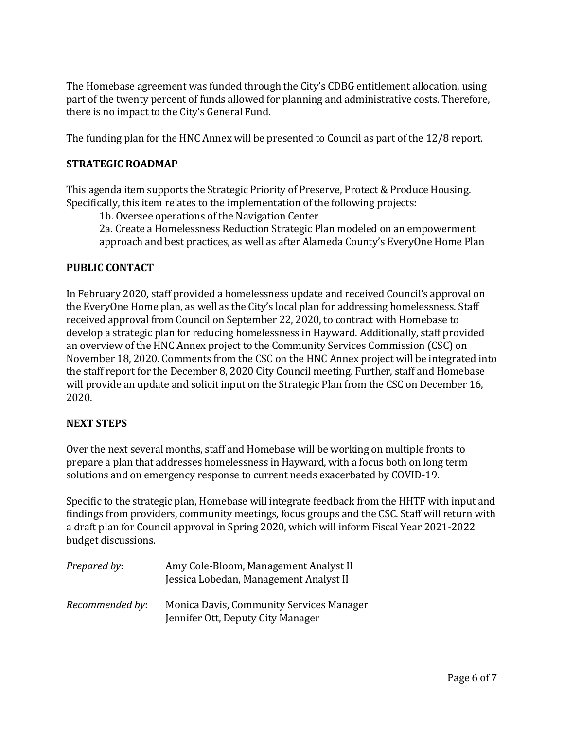The Homebase agreement was funded through the City's CDBG entitlement allocation, using part of the twenty percent of funds allowed for planning and administrative costs. Therefore, there is no impact to the City's General Fund.

The funding plan for the HNC Annex will be presented to Council as part of the 12/8 report.

## **STRATEGIC ROADMAP**

This agenda item supports the Strategic Priority of Preserve, Protect & Produce Housing. Specifically, this item relates to the implementation of the following projects:

1b. Oversee operations of the Navigation Center

2a. Create a Homelessness Reduction Strategic Plan modeled on an empowerment approach and best practices, as well as after Alameda County's EveryOne Home Plan

### **PUBLIC CONTACT**

In February 2020, staff provided a homelessness update and received Council's approval on the EveryOne Home plan, as well as the City's local plan for addressing homelessness. Staff received approval from Council on September 22, 2020, to contract with Homebase to develop a strategic plan for reducing homelessness in Hayward. Additionally, staff provided an overview of the HNC Annex project to the Community Services Commission (CSC) on November 18, 2020. Comments from the CSC on the HNC Annex project will be integrated into the staff report for the December 8, 2020 City Council meeting. Further, staff and Homebase will provide an update and solicit input on the Strategic Plan from the CSC on December 16, 2020.

### **NEXT STEPS**

Over the next several months, staff and Homebase will be working on multiple fronts to prepare a plan that addresses homelessness in Hayward, with a focus both on long term solutions and on emergency response to current needs exacerbated by COVID-19.

Specific to the strategic plan, Homebase will integrate feedback from the HHTF with input and findings from providers, community meetings, focus groups and the CSC. Staff will return with a draft plan for Council approval in Spring 2020, which will inform Fiscal Year 2021-2022 budget discussions.

| Prepared by:    | Amy Cole-Bloom, Management Analyst II<br>Jessica Lobedan, Management Analyst II      |
|-----------------|--------------------------------------------------------------------------------------|
| Recommended by: | <b>Monica Davis, Community Services Manager</b><br>Jennifer Ott, Deputy City Manager |